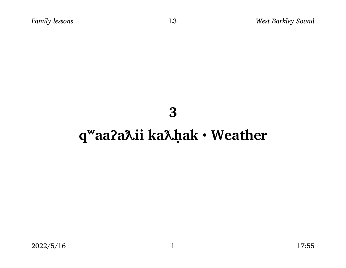### 3

# q<sup>w</sup>aa?a Lii ka Lhak · Weather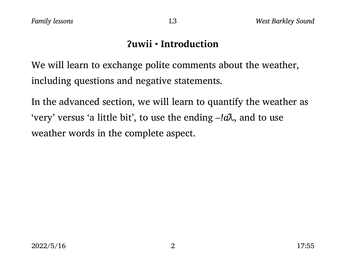### ʔuwii • Introduction

We will learn to exchange polite comments about the weather, including questions and negative statements.

In the advanced section, we will learn to quantify the weather as 'very' versus 'a little bit', to use the ending  $-i\alpha\lambda$ , and to use weather words in the complete aspect.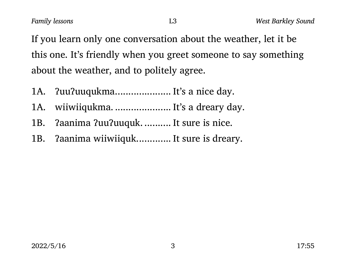If you learn only one conversation about the weather, let it be this one. It's friendly when you greet someone to say something about the weather, and to politely agree.

- 1A. ?uu?uuqukma........................ It's a nice day.
- 1A. wiiwiiqukma. ....................... It's a dreary day.
- 1B. ?aanima ?uu?uuquk. .......... It sure is nice.
- 1B. ?aanima wiiwiiquk............. It sure is dreary.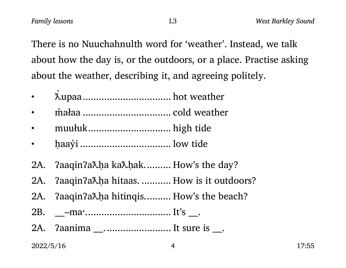There is no Nuuchahnulth word for 'weather'. Instead, we talk about how the day is, or the outdoors, or a place. Practise asking about the weather, describing it, and agreeing politely.

L<sub>3</sub>

- $\bullet$
- 
- $\bullet$
- $\bullet$
- ?aaqin?a $\lambda$ ha ka $\lambda$ hak.......... How's the day? 2A.
- ?aaqin?a $\lambda$ ha hitaas. .......... How is it outdoors? 2A.
- ?aaqin?a $\lambda$ ha hitinqis.......... How's the beach? 2A.
- $2B.$
- ?aanima \_\_........................... It sure is \_\_. 2A.

2022/5/16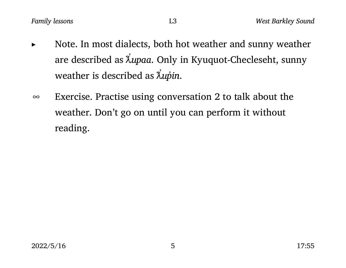- Note. In most dialects, both hot weather and sunny weather are described as  $\uplambda$ upaa. Only in Kyuquot-Checleseht, sunny ̓ weather is described as  $\lambda$ u $\acute{p}$ in. ̓
- ∞ Exercise. Practise using conversation 2 to talk about the weather. Don't go on until you can perform it without reading.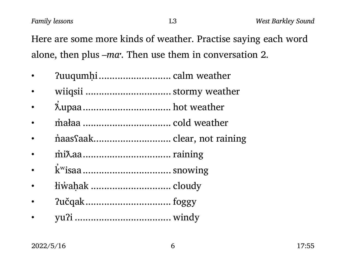Here are some more kinds of weather. Practise saying each word alone, then plus –ma. Then use them in conversation 2.

- ʔuuqumḥi........................... calm weather
- wiiqsii ................................ stormy weather
- ƛ upaa................................. hot weather ̓
- m̓ałaa ................................. cold weather
- maas faak.................................. clear, not raining
- m̓iƛaa................................. raining
- kʷisaa................................. snowing ̓
- łiw̓aḥak .............................. cloudy
- ʔučqak................................ foggy
- yuʔi .................................... windy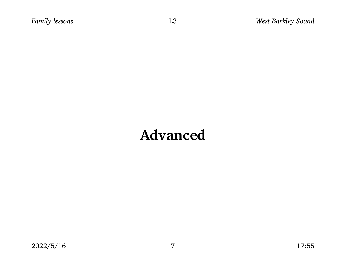## Advanced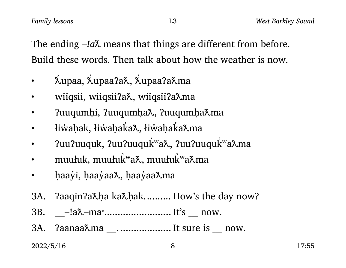The ending  $-la\lambda$  means that things are different from before. Build these words. Then talk about how the weather is now.

- ƛ upaa, ƛ upaaʔaƛ, ƛ upaaʔaƛma ̓ ̓ ̓
- wiiqsii, wiiqsiiʔaƛ, wiiqsiiʔaƛma
- ʔuuqumḥi, ʔuuqumḥaƛ, ʔuuqumḥaƛma
- łiẁaḥak, łiẁaḥaka‰, łiẁaḥaka‰ma ̓ ̓
- ʔuuʔuuquk, ʔuuʔuuquk ʷaƛ, ʔuuʔuuqukʷaƛma ̓ ̓
- muułuk, muułukʷa $\boldsymbol{\lambda}$ , muułukʷa $\boldsymbol{\lambda}$ ma ̓ ̓
- haay̓i, ḥaay̓aaλ, ḥaay̓aaλma
- 3A. ?aaqin?a $\lambda$ ha ka $\lambda$ hak.......... How's the day now?
- 3B. \_\_\_–!aƛ–maˑ......................... It's \_\_\_ now.
- 3A.  $?aanaa^{\lambda}ma$  \_\_......................... It sure is \_\_ now.

 $2022/5/16$  8 17:55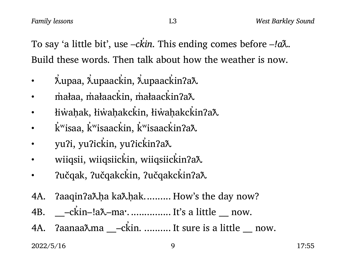To say 'a little bit', use –ckin. This ending comes before –!a $\lambda$ . ̓ Build these words. Then talk about how the weather is now.

- ƛ upaa, ƛ upaack in, ƛ upaack inʔaƛ ̓ ̓ ̓ ̓ ̓
- m̊ałaa, m̊ałaackin /ax małaackin /ax ̓ ̓
- łiẁaḥak, łiẁaḥakckin, łiẁaḥakckinʔaλ ̓ ̓
- $\boldsymbol{\cdot}$  kʷisaa $\boldsymbol{\mathrm{s}}$ kʷisaack $\boldsymbol{\mathrm{m}}$ a $\boldsymbol{\mathrm{a}}$ kʷisa $\boldsymbol{\mathrm{a}}$ ck $\boldsymbol{\mathrm{s}}$ ̓ ̓ ̓ ̓ ̓
- yuʔi, yuʔickin, yuʔickinʔaλ ̓ ̓
- wiiqsii, wiiqsiickin, wiiqsiickin?a $\lambda$ ̓ ̓
- ʔučqak, ʔučqakck in, ʔučqakck inʔaƛ ̓ ̓
- 4A. ?aaqin?a $\lambda$ ha ka $\lambda$ hak.......... How's the day now?
- 4B. \_\_\_–ck in–!aƛ–maˑ................ It's a little \_\_\_ now. ̓
- 4A. ʔaanaaƛma \_\_\_–ck in. .......... It sure is a little \_\_\_ now. ̓

 $2022/5/16$  9 17:55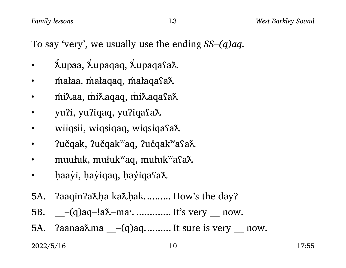To say 'very', we usually use the ending  $SS-(q)aq$ .

- ƛ upaa, ƛ upaqaq, ƛ upaqaʕaƛ ̓ ̓ ̓
- małaa, m̓ałaqaq, m̓ałaqa͡saλ
- miðaa, miðaqaq, miðaqasað.
- yu?i, yu?iqaq, yu?iqasa $\lambda$
- wiiqsii, wiqsiqaq, wiqsiqasa $\lambda$
- ʔučqak, ʔučqakʷaq, ʔučqakʷaʕaƛ
- muułuk, mułuk<sup>w</sup>aq, mułuk<sup>w</sup>asa $\lambda$
- baay̓i, ḥay̓iqaq, ḥay̓iqaʕaλ
- 5A. ?aaqin?a $\lambda$ ha ka $\lambda$ hak.......... How's the day?
- 5B. \_\_\_–(q)aq–!aƛ–maˑ. ............. It's very \_\_\_ now.
- 5A.  $2aanaa\lambda ma$   $_{-}(q)aq$ .......... It sure is very  $_{-}$  now.

 $2022/5/16$  17:55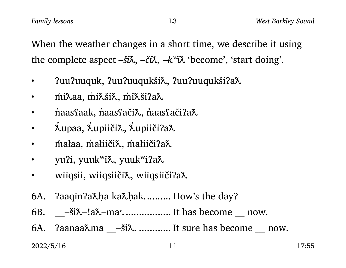When the weather changes in a short time, we describe it using the complete aspect  $-\check{\mathbf{S}}\check{\mathbf{R}}$ ,  $-\check{\mathbf{C}}\check{\mathbf{R}}$ ,  $-k^{\nu}\check{\mathbf{R}}$  'become', 'start doing'.

- ʔuuʔuuquk, ʔuuʔuuqukšiƛ, ʔuuʔuuqukšiʔaƛ
- miλaa, m̓iλšiλ, m̓iλšiʔaλ
- næmas nak, naas fači $\lambda$ , naas fači $7$ a $\lambda$
- ƛ upaa, ƛ upiičiƛ, ƛ upiičiʔaƛ ̓ ̓ ̓
- małaa, m̓ałiičiλ, m̓ałiičiʔaλ
- yu?i, yuuk<sup>w</sup>i $\lambda$ , yuuk<sup>w</sup>i?a $\lambda$
- wiiqsii, wiiqsiiči $\lambda$ , wiiqsiiči?a $\lambda$
- 6A. ?aaqin?a $\lambda$ ha ka $\lambda$ hak.......... How's the day?
- 6B.  $\_\_\_s$ – $\&\&\_\_s$ –!a $\&\_\_$ ma $\cdot$ .................................. It has become  $\_\_$ now.
- 6A.  $\alpha$ aanaa $\lambda$ ma \_\_\_—ši $\lambda$ . .............. It sure has become \_\_\_ now.

#### $2022/5/16$  11 17:55